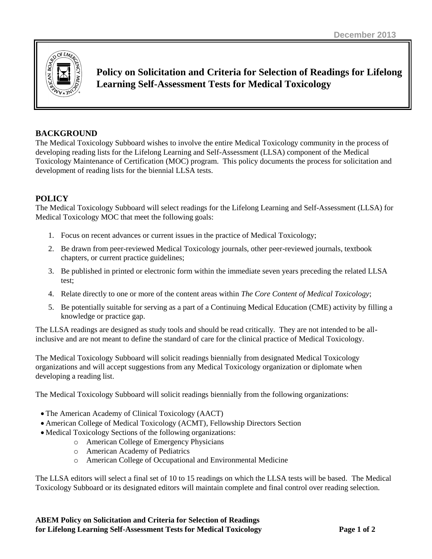

**Policy on Solicitation and Criteria for Selection of Readings for Lifelong Learning Self-Assessment Tests for Medical Toxicology**

## **BACKGROUND**

The Medical Toxicology Subboard wishes to involve the entire Medical Toxicology community in the process of developing reading lists for the Lifelong Learning and Self-Assessment (LLSA) component of the Medical Toxicology Maintenance of Certification (MOC) program. This policy documents the process for solicitation and development of reading lists for the biennial LLSA tests.

# **POLICY**

The Medical Toxicology Subboard will select readings for the Lifelong Learning and Self-Assessment (LLSA) for Medical Toxicology MOC that meet the following goals:

- 1. Focus on recent advances or current issues in the practice of Medical Toxicology;
- 2. Be drawn from peer-reviewed Medical Toxicology journals, other peer-reviewed journals, textbook chapters, or current practice guidelines;
- 3. Be published in printed or electronic form within the immediate seven years preceding the related LLSA test;
- 4. Relate directly to one or more of the content areas within *The Core Content of Medical Toxicology*;
- 5. Be potentially suitable for serving as a part of a Continuing Medical Education (CME) activity by filling a knowledge or practice gap.

The LLSA readings are designed as study tools and should be read critically. They are not intended to be allinclusive and are not meant to define the standard of care for the clinical practice of Medical Toxicology.

The Medical Toxicology Subboard will solicit readings biennially from designated Medical Toxicology organizations and will accept suggestions from any Medical Toxicology organization or diplomate when developing a reading list.

The Medical Toxicology Subboard will solicit readings biennially from the following organizations:

- The American Academy of Clinical Toxicology (AACT)
- American College of Medical Toxicology (ACMT), Fellowship Directors Section
- Medical Toxicology Sections of the following organizations:
	- o American College of Emergency Physicians
		- o American Academy of Pediatrics
		- o American College of Occupational and Environmental Medicine

The LLSA editors will select a final set of 10 to 15 readings on which the LLSA tests will be based. The Medical Toxicology Subboard or its designated editors will maintain complete and final control over reading selection.